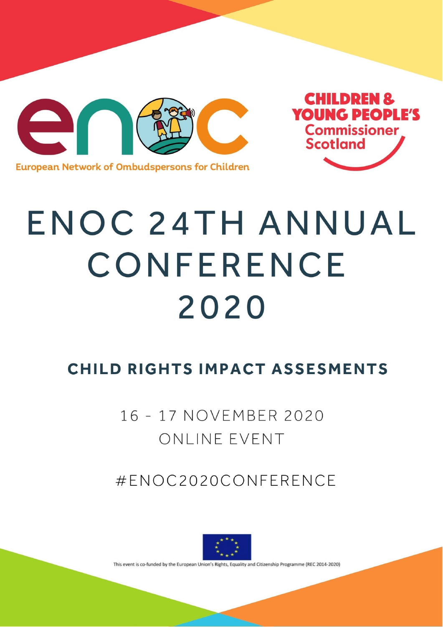

**European Network of Ombudspersons for Children** 

## **ENOC 24TH ANNUAL** CONFERENCE 2020

**CHILDREN &** 

**YOUNG PEOPLE'S** 

**Commissioner** 

**Scotland** 

## **CHILD RIGHTS IMPACT ASSESMENTS**

16 - 17 NOVEMBER 2020 ONLINE EVENT

#ENOC2020CONFERENCE



This event is co-funded by the European Union's Rights, Equality and Citizenship Programme (REC 2014-2020)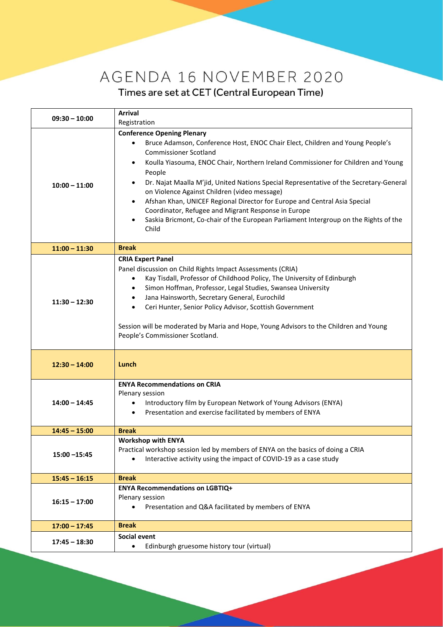## AGENDA 16 NOVEMBER 2020 Times are set at CET (Central European Time)

| $09:30 - 10:00$ | <b>Arrival</b><br>Registration                                                                                                                                                                                                                                                                                                                                                                                                                                                                                                                                                                                                                                       |
|-----------------|----------------------------------------------------------------------------------------------------------------------------------------------------------------------------------------------------------------------------------------------------------------------------------------------------------------------------------------------------------------------------------------------------------------------------------------------------------------------------------------------------------------------------------------------------------------------------------------------------------------------------------------------------------------------|
| $10:00 - 11:00$ | <b>Conference Opening Plenary</b><br>Bruce Adamson, Conference Host, ENOC Chair Elect, Children and Young People's<br><b>Commissioner Scotland</b><br>Koulla Yiasouma, ENOC Chair, Northern Ireland Commissioner for Children and Young<br>$\bullet$<br>People<br>Dr. Najat Maalla M'jid, United Nations Special Representative of the Secretary-General<br>٠<br>on Violence Against Children (video message)<br>Afshan Khan, UNICEF Regional Director for Europe and Central Asia Special<br>$\bullet$<br>Coordinator, Refugee and Migrant Response in Europe<br>Saskia Bricmont, Co-chair of the European Parliament Intergroup on the Rights of the<br>٠<br>Child |
| $11:00 - 11:30$ | <b>Break</b>                                                                                                                                                                                                                                                                                                                                                                                                                                                                                                                                                                                                                                                         |
| $11:30 - 12:30$ | <b>CRIA Expert Panel</b><br>Panel discussion on Child Rights Impact Assessments (CRIA)<br>Kay Tisdall, Professor of Childhood Policy, The University of Edinburgh<br>$\bullet$<br>Simon Hoffman, Professor, Legal Studies, Swansea University<br>$\bullet$<br>Jana Hainsworth, Secretary General, Eurochild<br>$\bullet$<br>Ceri Hunter, Senior Policy Advisor, Scottish Government<br>$\bullet$<br>Session will be moderated by Maria and Hope, Young Advisors to the Children and Young<br>People's Commissioner Scotland.                                                                                                                                         |
| $12:30 - 14:00$ | Lunch                                                                                                                                                                                                                                                                                                                                                                                                                                                                                                                                                                                                                                                                |
| $14:00 - 14:45$ | <b>ENYA Recommendations on CRIA</b><br>Plenary session<br>Introductory film by European Network of Young Advisors (ENYA)<br>$\bullet$<br>Presentation and exercise facilitated by members of ENYA<br>$\bullet$                                                                                                                                                                                                                                                                                                                                                                                                                                                       |
| $14:45 - 15:00$ | <b>Break</b>                                                                                                                                                                                                                                                                                                                                                                                                                                                                                                                                                                                                                                                         |
| $15:00 - 15:45$ | <b>Workshop with ENYA</b><br>Practical workshop session led by members of ENYA on the basics of doing a CRIA<br>Interactive activity using the impact of COVID-19 as a case study                                                                                                                                                                                                                                                                                                                                                                                                                                                                                    |
| $15:45 - 16:15$ | <b>Break</b>                                                                                                                                                                                                                                                                                                                                                                                                                                                                                                                                                                                                                                                         |
| $16:15 - 17:00$ | <b>ENYA Recommendations on LGBTIQ+</b><br>Plenary session<br>Presentation and Q&A facilitated by members of ENYA<br>$\bullet$                                                                                                                                                                                                                                                                                                                                                                                                                                                                                                                                        |
| $17:00 - 17:45$ | <b>Break</b>                                                                                                                                                                                                                                                                                                                                                                                                                                                                                                                                                                                                                                                         |
| $17:45 - 18:30$ | <b>Social event</b><br>Edinburgh gruesome history tour (virtual)<br>$\bullet$                                                                                                                                                                                                                                                                                                                                                                                                                                                                                                                                                                                        |